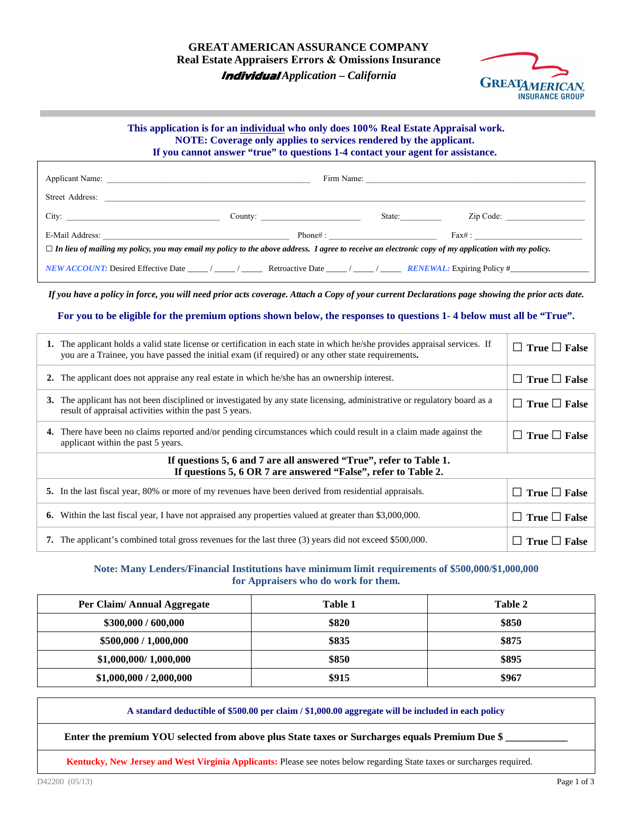

## **This application is for an individual who only does 100% Real Estate Appraisal work. NOTE: Coverage only applies to services rendered by the applicant. If you cannot answer "true" to questions 1-4 contact your agent for assistance.**

| Street Address:                                                                                                                                                                                                                                                                                                                                                                             |         |         |           |  |  |  |
|---------------------------------------------------------------------------------------------------------------------------------------------------------------------------------------------------------------------------------------------------------------------------------------------------------------------------------------------------------------------------------------------|---------|---------|-----------|--|--|--|
| City:                                                                                                                                                                                                                                                                                                                                                                                       | County: | State:  | Zip Code: |  |  |  |
|                                                                                                                                                                                                                                                                                                                                                                                             |         | Phone#: |           |  |  |  |
| $\Box$ In lieu of mailing my policy, you may email my policy to the above address. I agree to receive an electronic copy of my application with my policy.                                                                                                                                                                                                                                  |         |         |           |  |  |  |
| <b>NEW ACCOUNT:</b> Desired Effective Date $\frac{1}{\sqrt{1-\frac{1}{1-\frac{1}{1-\frac{1}{1-\frac{1}{1-\frac{1}{1-\frac{1}{1-\frac{1}{1-\frac{1}{1-\frac{1}{1-\frac{1}{1-\frac{1}{1-\frac{1}{1-\frac{1}{1-\frac{1}{1-\frac{1}{1-\frac{1}{1-\frac{1}{1-\frac{1}{1-\frac{1}{1-\frac{1}{1-\frac{1}{1-\frac{1}{1-\frac{1}{1-\frac{1}{1-\frac{1}{1-\frac{1}{1-\frac{1}{1-\frac{1}{1-\frac{1}{$ |         |         |           |  |  |  |

*If you have a policy in force, you will need prior acts coverage. Attach a Copy of your current Declarations page showing the prior acts date.* 

**For you to be eligible for the premium options shown below, the responses to questions 1- 4 below must all be "True".** 

|                                                                                                                                      | 1. The applicant holds a valid state license or certification in each state in which he/she provides appraisal services. If<br>you are a Trainee, you have passed the initial exam (if required) or any other state requirements. | $\Box$ True $\Box$ False     |  |  |  |
|--------------------------------------------------------------------------------------------------------------------------------------|-----------------------------------------------------------------------------------------------------------------------------------------------------------------------------------------------------------------------------------|------------------------------|--|--|--|
|                                                                                                                                      | 2. The applicant does not appraise any real estate in which he/she has an ownership interest.                                                                                                                                     | True $\Box$ False<br>$\perp$ |  |  |  |
|                                                                                                                                      | 3. The applicant has not been disciplined or investigated by any state licensing, administrative or regulatory board as a<br>result of appraisal activities within the past 5 years.                                              | $\Box$ True $\Box$ False     |  |  |  |
|                                                                                                                                      | 4. There have been no claims reported and/or pending circumstances which could result in a claim made against the<br>applicant within the past 5 years.                                                                           | $\Box$ True $\Box$ False     |  |  |  |
| If questions 5, 6 and 7 are all answered "True", refer to Table 1.<br>If questions 5, 6 OR 7 are answered "False", refer to Table 2. |                                                                                                                                                                                                                                   |                              |  |  |  |
|                                                                                                                                      | 5. In the last fiscal year, 80% or more of my revenues have been derived from residential appraisals.                                                                                                                             | True $\Box$ False            |  |  |  |
| 6.                                                                                                                                   | Within the last fiscal year, I have not appraised any properties valued at greater than \$3,000,000.                                                                                                                              | True $\Box$ False            |  |  |  |
|                                                                                                                                      | <b>7.</b> The applicant's combined total gross revenues for the last three (3) years did not exceed \$500,000.                                                                                                                    | True $\Box$ False            |  |  |  |

## **Note: Many Lenders/Financial Institutions have minimum limit requirements of \$500,000/\$1,000,000 for Appraisers who do work for them.**

| Per Claim/Annual Aggregate | Table 1 | Table 2 |
|----------------------------|---------|---------|
| \$300,000 / 600,000        | \$820   | \$850   |
| \$500,000 / 1,000,000      | \$835   | \$875   |
| \$1,000,000/1,000,000      | \$850   | \$895   |
| \$1,000,000 / 2,000,000    | \$915   | \$967   |

**A standard deductible of \$500.00 per claim / \$1,000.00 aggregate will be included in each policy** 

Enter the premium YOU selected from above plus State taxes or Surcharges equals Premium Due \$

**Kentucky, New Jersey and West Virginia Applicants:** Please see notes below regarding State taxes or surcharges required.